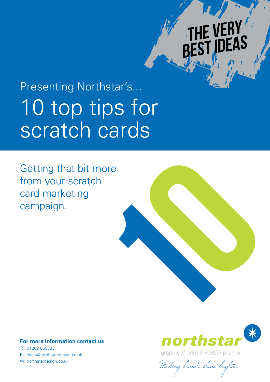# f ver **DEAS**

# 10 top tips for scratch cards Presenting Northstar's...

Getting that bit more from your scratch card marketing campaign.

# 10

# **For more information contact us**

T: 01282 865333 E: ideas@northstardesign.co.uk



graphic // print // web // promo

W: northstardesign.co.uk<br>Making brands shine brighter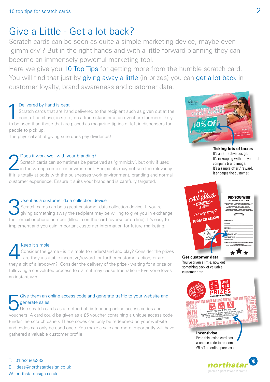# Give a Little - Get a lot back?

Scratch cards can be seen as quite a simple marketing device, maybe even 'gimmicky'? But in the right hands and with a little forward planning they can become an immensely powerful marketing tool.

Here we give you 10 Top Tips for getting more from the humble scratch card. You will find that just by giving away a little (in prizes) you can get a lot back in customer loyalty, brand awareness and customer data.

Delivered by hand is best<br>
Scratch cards that are har<br>
point of purchase, in-store<br>
to be used than these that are Scratch cards that are hand delivered to the recipient such as given out at the point of purchase, in-store, on a trade stand or at an event are far more likely to be used than those that are placed as magazine tip-ins or left in dispensers for people to pick up.

The physical act of giving sure does pay dividends!

Does it work well with your branding?<br>
Scratch cards can sometimes be percent<br>
in the wrong context or environment. Scratch cards can sometimes be perceived as 'gimmicky', but only if used in the wrong context or environment. Recipients may not see the relevancy if it is totally at odds with the buisnesses work environment, branding and normal customer experience. Ensure it suits your brand and is carefully targeted.

# Use it as a customer data collection device Scratch cards can be a great customer data collection device. If you're giving something away the recipient may be willing to give you in exchange their email or phone number (filled in on the card reverse or on line). It's easy to implement and you gain important customer information for future marketing.

# Keep it simple<br>Consider the g<br>- are they a su Consider the game - is it simple to understand and play? Consider the prizes - are they a suitable incentive/reward for further customer action, or are they a bit of a let-down? Consider the delivery of the prize - waiting for a prize or following a convoluted process to claim it may cause frustration - Everyone loves an instant win.

# Give them an online access code and generate traffic to your website and generate sales

Use scratch cards as a method of distributing online access codes and vouchers. A card could be given as a £5 voucher containing a unique access code (under the scratch panel). These codes can only be redeemed on your website and codes can only be used once. You make a sale and more importantly will have gathered a valuable customer profile.

T: 01282 865333

- E: ideas@northstardesign.co.uk
- W: northstardesign.co.uk



**Ticking lots of boxes** It's an attractive design. It's in keeping with the youthful company brand image. It's a simple offer / reward. It engages the customer.



You've given a little, now get something back of valuable customer data.